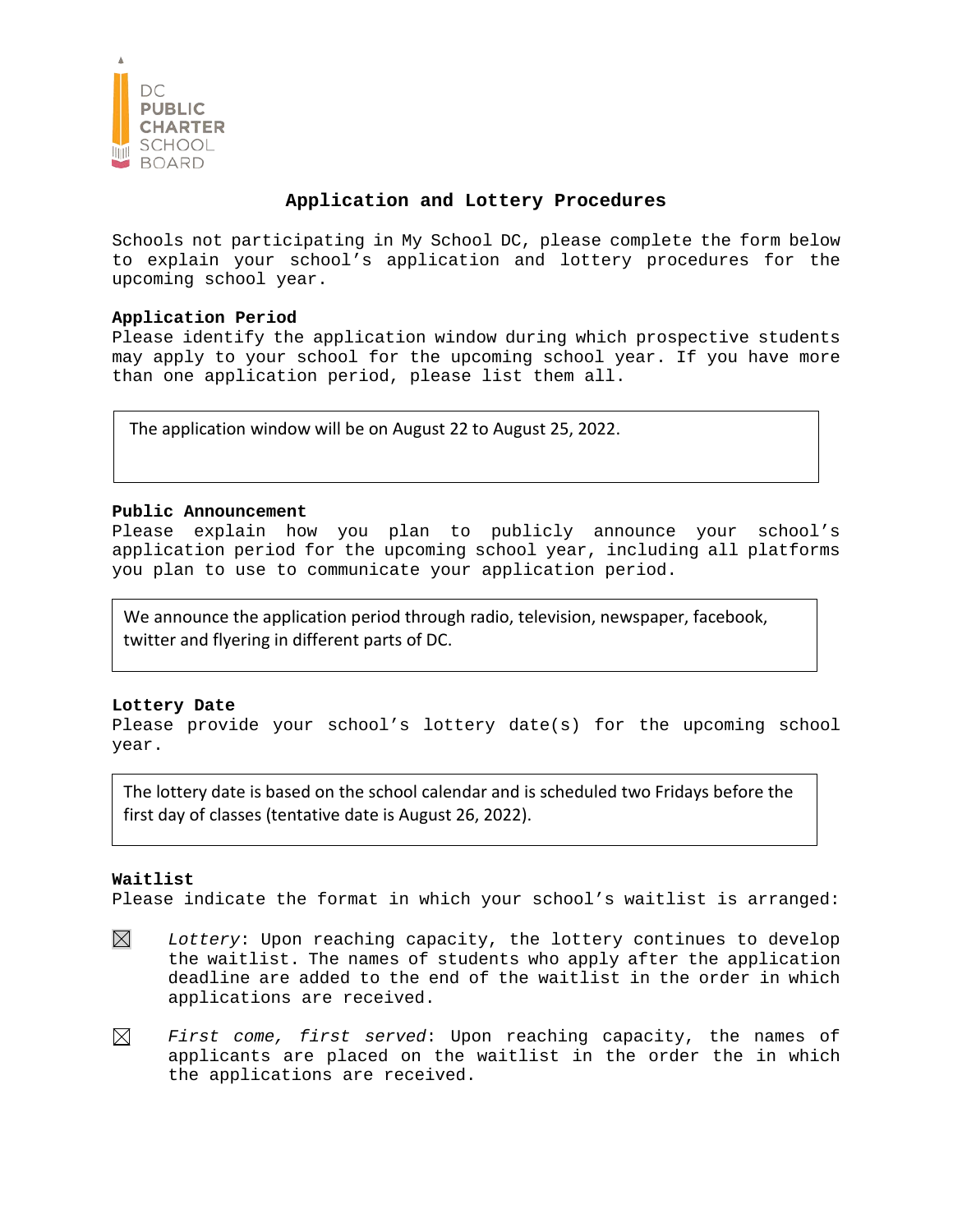

# **Application and Lottery Procedures**

Schools not participating in My School DC, please complete the form below to explain your school's application and lottery procedures for the upcoming school year.

## **Application Period**

Please identify the application window during which prospective students may apply to your school for the upcoming school year. If you have more than one application period, please list them all.

The application window will be on August 22 to August 25, 2022.

### **Public Announcement**

Please explain how you plan to publicly announce your school's application period for the upcoming school year, including all platforms you plan to use to communicate your application period.

We announce the application period through radio, television, newspaper, facebook, twitter and flyering in different parts of DC.

### **Lottery Date**

Please provide your school's lottery date(s) for the upcoming school year.

The lottery date is based on the school calendar and is scheduled two Fridays before the first day of classes (tentative date is August 26, 2022).

### **Waitlist**

Please indicate the format in which your school's waitlist is arranged:

- $\boxtimes$ *Lottery*: Upon reaching capacity, the lottery continues to develop the waitlist. The names of students who apply after the application deadline are added to the end of the waitlist in the order in which applications are received.
- $\boxtimes$ *First come, first served*: Upon reaching capacity, the names of applicants are placed on the waitlist in the order the in which the applications are received.